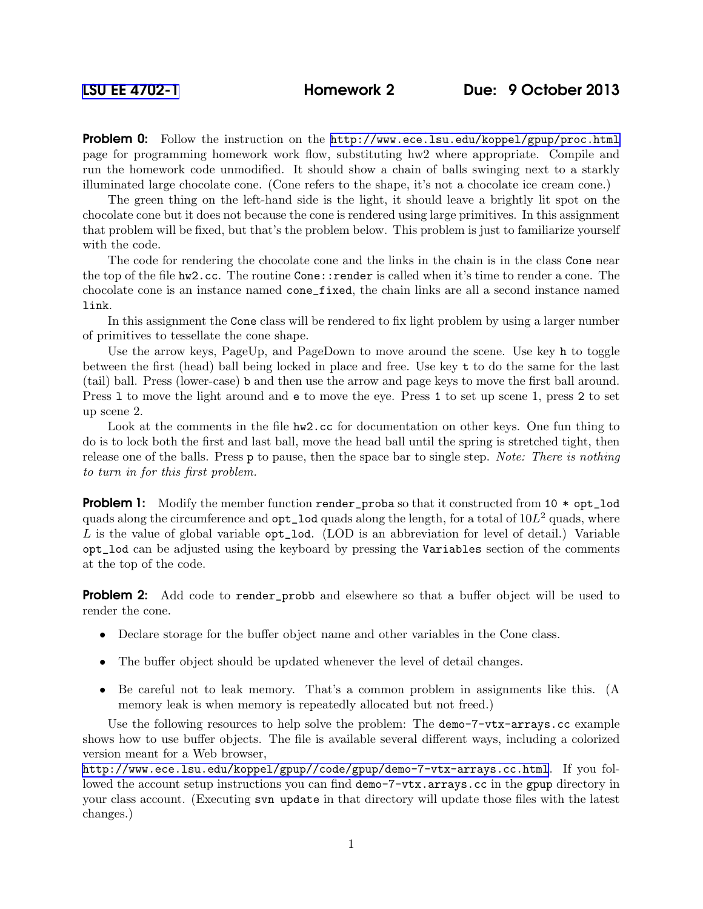**Problem 0:** Follow the instruction on the <http://www.ece.lsu.edu/koppel/gpup/proc.html> page for programming homework work flow, substituting hw2 where appropriate. Compile and run the homework code unmodified. It should show a chain of balls swinging next to a starkly illuminated large chocolate cone. (Cone refers to the shape, it's not a chocolate ice cream cone.)

The green thing on the left-hand side is the light, it should leave a brightly lit spot on the chocolate cone but it does not because the cone is rendered using large primitives. In this assignment that problem will be fixed, but that's the problem below. This problem is just to familiarize yourself with the code.

The code for rendering the chocolate cone and the links in the chain is in the class Cone near the top of the file hw2.cc. The routine Cone::render is called when it's time to render a cone. The chocolate cone is an instance named cone\_fixed, the chain links are all a second instance named link.

In this assignment the Cone class will be rendered to fix light problem by using a larger number of primitives to tessellate the cone shape.

Use the arrow keys, PageUp, and PageDown to move around the scene. Use key h to toggle between the first (head) ball being locked in place and free. Use key t to do the same for the last (tail) ball. Press (lower-case) b and then use the arrow and page keys to move the first ball around. Press l to move the light around and e to move the eye. Press 1 to set up scene 1, press 2 to set up scene 2.

Look at the comments in the file hw2.cc for documentation on other keys. One fun thing to do is to lock both the first and last ball, move the head ball until the spring is stretched tight, then release one of the balls. Press p to pause, then the space bar to single step. Note: There is nothing to turn in for this first problem.

**Problem 1:** Modify the member function render\_proba so that it constructed from 10  $*$  opt\_lod quads along the circumference and  $opt\_lod$  quads along the length, for a total of  $10L^2$  quads, where L is the value of global variable  $opt\_lod$ . (LOD is an abbreviation for level of detail.) Variable opt\_lod can be adjusted using the keyboard by pressing the Variables section of the comments at the top of the code.

**Problem 2:** Add code to render probb and elsewhere so that a buffer object will be used to render the cone.

- Declare storage for the buffer object name and other variables in the Cone class.
- The buffer object should be updated whenever the level of detail changes.
- Be careful not to leak memory. That's a common problem in assignments like this. (A memory leak is when memory is repeatedly allocated but not freed.)

Use the following resources to help solve the problem: The demo-7-vtx-arrays.cc example shows how to use buffer objects. The file is available several different ways, including a colorized version meant for a Web browser,

<http://www.ece.lsu.edu/koppel/gpup//code/gpup/demo-7-vtx-arrays.cc.html>. If you followed the account setup instructions you can find demo-7-vtx.arrays.cc in the gpup directory in your class account. (Executing svn update in that directory will update those files with the latest changes.)